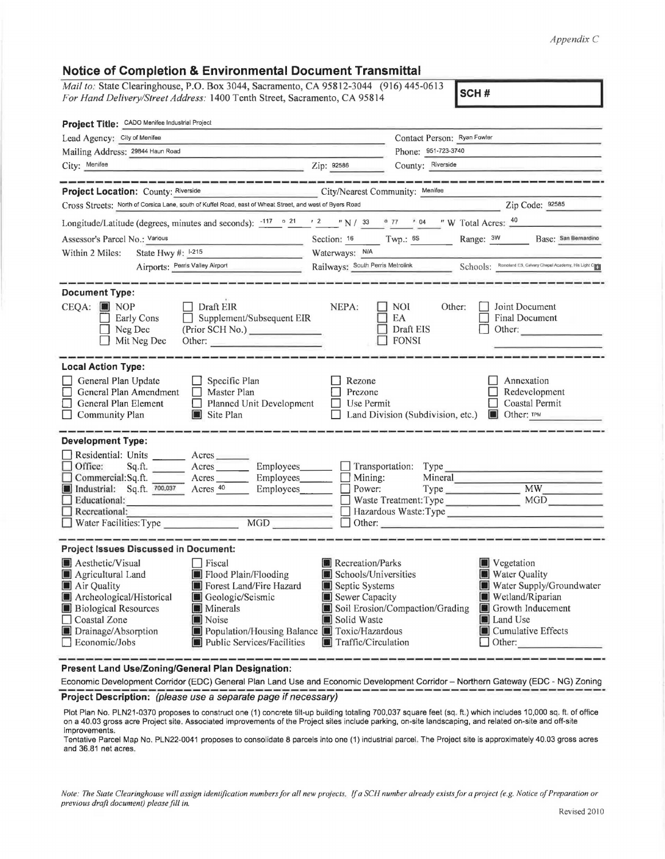## *Appendix C*

## **Notice of Completion & Environmental Document Transmittal**

*Mail to:* State Clearinghouse, P.O. Box 3044, Sacramento, CA 95812-3044 (916) 445-0613 *For Hand Delivery/Street Address:* 1400 Tenth Street, Sacramento, CA 95814 **SCH#** 

| Project Title: CADO Menifee Industrial Project                                                                                                                                                                                                                                                                                                                     |                                                                                                                                                                                                                                |                                                          |                                                                                                                                              |
|--------------------------------------------------------------------------------------------------------------------------------------------------------------------------------------------------------------------------------------------------------------------------------------------------------------------------------------------------------------------|--------------------------------------------------------------------------------------------------------------------------------------------------------------------------------------------------------------------------------|----------------------------------------------------------|----------------------------------------------------------------------------------------------------------------------------------------------|
| Lead Agency: City of Menifee                                                                                                                                                                                                                                                                                                                                       |                                                                                                                                                                                                                                | Contact Person: Ryan Fowler                              |                                                                                                                                              |
| Mailing Address: 29844 Haun Road                                                                                                                                                                                                                                                                                                                                   |                                                                                                                                                                                                                                | Phone: 951-723-3740                                      |                                                                                                                                              |
| City: Menifee<br>Zip: 92586                                                                                                                                                                                                                                                                                                                                        |                                                                                                                                                                                                                                | County: Riverside                                        |                                                                                                                                              |
|                                                                                                                                                                                                                                                                                                                                                                    |                                                                                                                                                                                                                                |                                                          |                                                                                                                                              |
| Project Location: County: Riverside<br>City/Nearest Community: Menifee<br>Cross Streets: North of Corsica Lane, south of Kuffel Road, east of Wheat Street, and west of Byers Road                                                                                                                                                                                 |                                                                                                                                                                                                                                |                                                          |                                                                                                                                              |
|                                                                                                                                                                                                                                                                                                                                                                    |                                                                                                                                                                                                                                |                                                          | Zip Code: 92585                                                                                                                              |
| Longitude/Latitude (degrees, minutes and seconds): $\frac{-117}{2}$ $\frac{21}{2}$ $\frac{1}{2}$ $\frac{2}{N}$ / 33 $\frac{6}{77}$ / 04 $\frac{1}{N}$ W Total Acres: $\frac{40}{N}$                                                                                                                                                                                |                                                                                                                                                                                                                                |                                                          |                                                                                                                                              |
| Assessor's Parcel No.: Various                                                                                                                                                                                                                                                                                                                                     | Section: $16$ Twp.: $65$<br>Range: 3W Base: San Bernardino<br>Waterways: N/A                                                                                                                                                   |                                                          |                                                                                                                                              |
| State Hwy #: $1-215$<br>Within 2 Miles:                                                                                                                                                                                                                                                                                                                            |                                                                                                                                                                                                                                |                                                          |                                                                                                                                              |
| Airports: Perris Valley Airport                                                                                                                                                                                                                                                                                                                                    | Railways: South Perris Metrolink Schools: Ramoland ES, Calvary Chapel Academy, His Light Chapel Academy, His Light Chapel Academy, His Light Chapel Academy, His Light Chapel Academy, His Light Chapel Academy, His Light Cha |                                                          |                                                                                                                                              |
| <b>Document Type:</b>                                                                                                                                                                                                                                                                                                                                              |                                                                                                                                                                                                                                |                                                          |                                                                                                                                              |
| $\Box$ Draft EIR<br>$CEQA:$ MOP<br>$\Box$ Supplement/Subsequent EIR<br>$\Box$ Early Cons<br>$\Box$ Neg Dec<br>(Prior SCH No.)<br>$\Box$ Mit Neg Dec<br>Other: $\qquad \qquad$                                                                                                                                                                                      | NEPA:                                                                                                                                                                                                                          | NOI<br>Other:<br>EA<br>Draft EIS<br>$\Box$ FONSI         | Joint Document<br><b>Final Document</b><br>Other:                                                                                            |
| <b>Local Action Type:</b>                                                                                                                                                                                                                                                                                                                                          |                                                                                                                                                                                                                                |                                                          |                                                                                                                                              |
| General Plan Update<br>Specific Plan<br>General Plan Amendment<br>Master Plan<br>General Plan Element<br>П<br>Planned Unit Development<br>Community Plan<br>Site Plan                                                                                                                                                                                              | Rezone<br>Prezone<br>Use Permit                                                                                                                                                                                                | Land Division (Subdivision, etc.)                        | Annexation<br>Redevelopment<br>Coastal Permit<br>Other: TPM                                                                                  |
| Development Type:                                                                                                                                                                                                                                                                                                                                                  |                                                                                                                                                                                                                                |                                                          |                                                                                                                                              |
| Residential: Units _______ Acres<br>Office:<br>$Sq.ft.$ Acres<br>Employees_______<br>Commercial: Sq.ft.<br>Acres Employees<br>$\blacksquare$ Industrial: Sq.ft. $\overline{700,037}$ Acres $\overline{40}$ Employees<br>Educational:<br>Recreational:                                                                                                              | Power:                                                                                                                                                                                                                         | Transportation: Type<br>Mining:<br>Hazardous Waste: Type | Mineral<br>MW<br>$\Box$ Other:                                                                                                               |
| <b>Project Issues Discussed in Document:</b>                                                                                                                                                                                                                                                                                                                       |                                                                                                                                                                                                                                |                                                          |                                                                                                                                              |
| Aesthetic/Visual<br>Fiscal<br>Flood Plain/Flooding<br>Agricultural Land<br>Air Quality<br>Forest Land/Fire Hazard<br>Archeological/Historical<br>Geologic/Seismic<br><b>Biological Resources</b><br><b>N</b> Minerals<br>Coastal Zone<br>Noise<br>Population/Housing Balance Toxic/Hazardous<br>Drainage/Absorption<br>Public Services/Facilities<br>Economic/Jobs | <b>Recreation/Parks</b><br>Schools/Universities<br>Septic Systems<br>Sewer Capacity<br>Solid Waste<br>Traffic/Circulation                                                                                                      | Soil Erosion/Compaction/Grading                          | Vegetation<br>Water Quality<br>Water Supply/Groundwater<br>Wetland/Riparian<br>Growth Inducement<br>Land Use<br>Cumulative Effects<br>Other: |

**Present Land Use/Zoning/General Plan Designation:** 

Economic Development Corridor (EDC) General Plan Land Use and Economic Development Corridor - Northern Gateway (EDC - NG) Zoning<br> **Project Description:** (please use a separate page if necessary)<br> **Project Description:** (pl

Plot Plan No. PLN21-0370 proposes to construct one (1) concrete tilt-up building totaling 700,037 square feet (sq. ft.) which includes 10,000 sq. ft. of office on a 40.03 gross acre Project site. Associated improvements of the Project sites include parking, on-site landscaping, and related on-site and off-site improvements\_

Tentative Parcel Map No. PLN22-0041 proposes to consolidate 8 parcels into one (1) industrial parcel. The Project site is approximately 40.03 gross acres and 36.81 net acres.

Note: The State Clearinghouse will assign identification numbers for all new projects. If a SCH number already exists for a project (e.g. Notice of Preparation or *previous draft document) please fill in.*